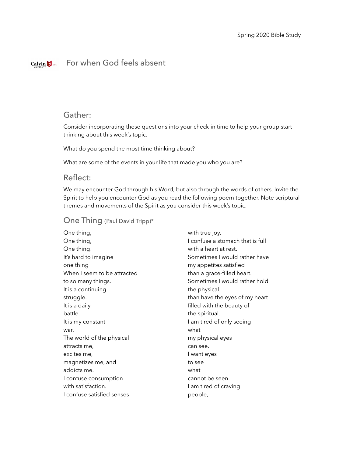# For when God feels absent

## Gather:

Consider incorporating these questions into your check-in time to help your group start thinking about this week's topic.

What do you spend the most time thinking about?

What are some of the events in your life that made you who you are?

### Reflect:

We may encounter God through his Word, but also through the words of others. Invite the Spirit to help you encounter God as you read the following poem together. Note scriptural themes and movements of the Spirit as you consider this week's topic.

#### One Thing (Paul David Tripp)\*

One thing, One thing, One thing! It's hard to imagine one thing When I seem to be attracted to so many things. It is a continuing struggle. It is a daily battle. It is my constant war. The world of the physical attracts me, excites me, magnetizes me, and addicts me. I confuse consumption with satisfaction. I confuse satisfied senses

with true joy. I confuse a stomach that is full with a heart at rest. Sometimes I would rather have my appetites satisfied than a grace-filled heart. Sometimes I would rather hold the physical than have the eyes of my heart filled with the beauty of the spiritual. I am tired of only seeing what my physical eyes can see. I want eyes to see what cannot be seen. I am tired of craving people,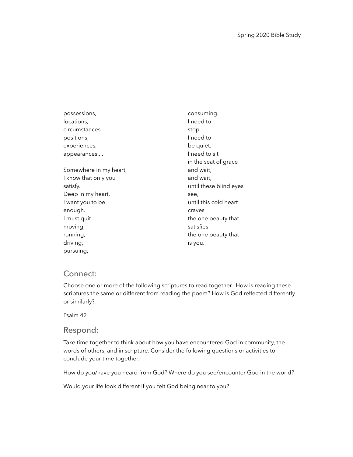possessions, locations, circumstances, positions, experiences, appearances.... Somewhere in my heart, I know that only you satisfy. Deep in my heart, I want you to be enough. I must quit moving, running, driving, pursuing, consuming. I need to stop. I need to be quiet. I need to sit in the seat of grace and wait, and wait, until these blind eyes see, until this cold heart craves the one beauty that satisfies - the one beauty that is you.

# Connect:

Choose one or more of the following scriptures to read together. How is reading these scriptures the same or different from reading the poem? How is God reflected differently or similarly?

Psalm 42

#### Respond:

Take time together to think about how you have encountered God in community, the words of others, and in scripture. Consider the following questions or activities to conclude your time together.

How do you/have you heard from God? Where do you see/encounter God in the world?

Would your life look different if you felt God being near to you?